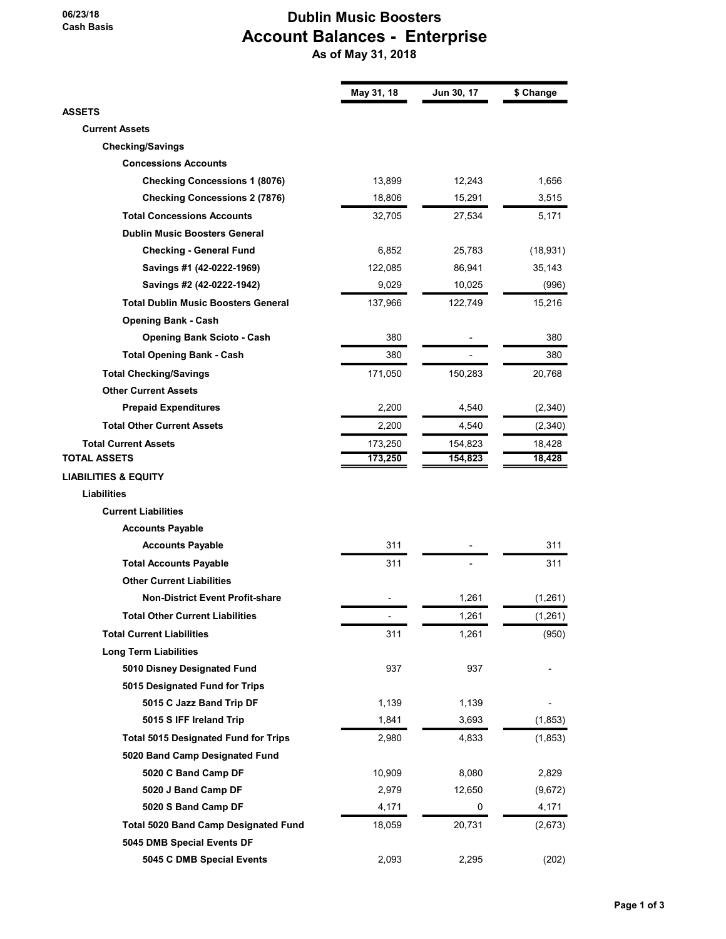#### 06/23/18 Cash Basis

## Dublin Music Boosters Account Balances - Enterprise As of May 31, 2018

|                                             | May 31, 18 | Jun 30, 17 | \$ Change |
|---------------------------------------------|------------|------------|-----------|
| <b>ASSETS</b>                               |            |            |           |
| <b>Current Assets</b>                       |            |            |           |
| <b>Checking/Savings</b>                     |            |            |           |
| <b>Concessions Accounts</b>                 |            |            |           |
| <b>Checking Concessions 1 (8076)</b>        | 13,899     | 12,243     | 1,656     |
| <b>Checking Concessions 2 (7876)</b>        | 18,806     | 15,291     | 3,515     |
| <b>Total Concessions Accounts</b>           | 32,705     | 27,534     | 5,171     |
| <b>Dublin Music Boosters General</b>        |            |            |           |
| <b>Checking - General Fund</b>              | 6,852      | 25,783     | (18, 931) |
| Savings #1 (42-0222-1969)                   | 122,085    | 86,941     | 35,143    |
| Savings #2 (42-0222-1942)                   | 9,029      | 10,025     | (996)     |
| <b>Total Dublin Music Boosters General</b>  | 137,966    | 122,749    | 15,216    |
| <b>Opening Bank - Cash</b>                  |            |            |           |
| <b>Opening Bank Scioto - Cash</b>           | 380        |            | 380       |
| <b>Total Opening Bank - Cash</b>            | 380        |            | 380       |
| <b>Total Checking/Savings</b>               | 171,050    | 150,283    | 20,768    |
| <b>Other Current Assets</b>                 |            |            |           |
| <b>Prepaid Expenditures</b>                 | 2,200      | 4,540      | (2, 340)  |
| <b>Total Other Current Assets</b>           | 2,200      | 4,540      | (2,340)   |
| <b>Total Current Assets</b>                 | 173,250    | 154,823    | 18,428    |
| <b>TOTAL ASSETS</b>                         | 173,250    | 154,823    | 18,428    |
| <b>LIABILITIES &amp; EQUITY</b>             |            |            |           |
| <b>Liabilities</b>                          |            |            |           |
| <b>Current Liabilities</b>                  |            |            |           |
| <b>Accounts Payable</b>                     |            |            |           |
| <b>Accounts Payable</b>                     | 311        |            | 311       |
| <b>Total Accounts Payable</b>               | 311        |            | 311       |
| <b>Other Current Liabilities</b>            |            |            |           |
| <b>Non-District Event Profit-share</b>      |            | 1,261      | (1,261)   |
| <b>Total Other Current Liabilities</b>      |            | 1,261      | (1, 261)  |
| <b>Total Current Liabilities</b>            | 311        | 1,261      | (950)     |
| <b>Long Term Liabilities</b>                |            |            |           |
| 5010 Disney Designated Fund                 | 937        | 937        |           |
| 5015 Designated Fund for Trips              |            |            |           |
| 5015 C Jazz Band Trip DF                    | 1,139      | 1,139      |           |
| 5015 S IFF Ireland Trip                     | 1,841      | 3,693      | (1, 853)  |
| <b>Total 5015 Designated Fund for Trips</b> | 2,980      | 4,833      | (1, 853)  |
|                                             |            |            |           |
| 5020 Band Camp Designated Fund              |            |            |           |
| 5020 C Band Camp DF                         | 10,909     | 8,080      | 2,829     |
| 5020 J Band Camp DF                         | 2,979      | 12,650     | (9,672)   |
| 5020 S Band Camp DF                         | 4,171      | 0          | 4,171     |
| <b>Total 5020 Band Camp Designated Fund</b> | 18,059     | 20,731     | (2,673)   |
| 5045 DMB Special Events DF                  |            |            |           |
| 5045 C DMB Special Events                   | 2,093      | 2,295      | (202)     |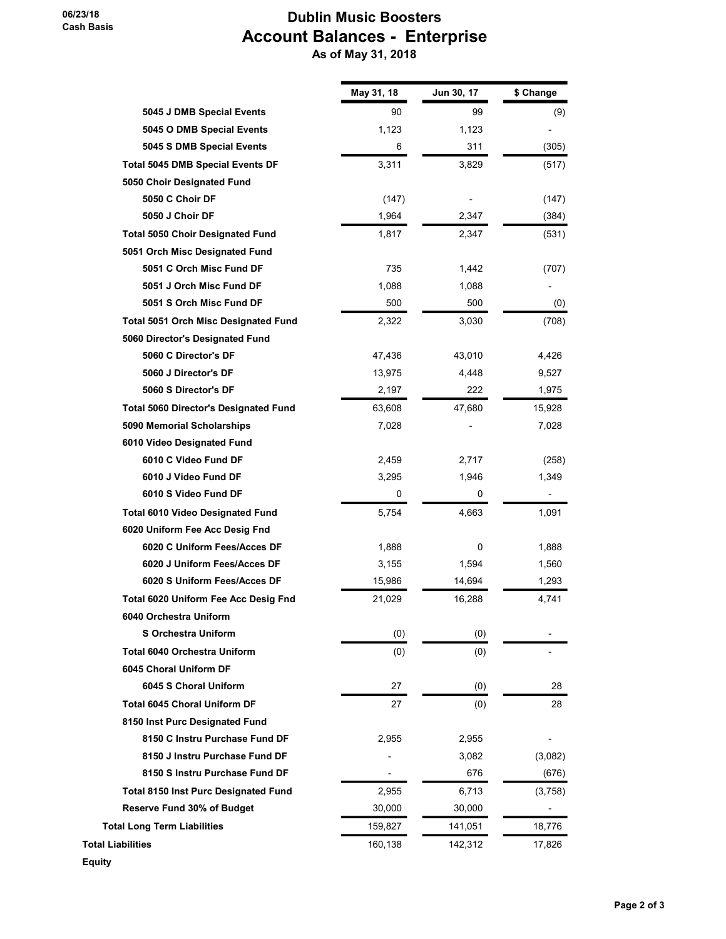06/23/18 Cash Basis

## Dublin Music Boosters Account Balances - Enterprise As of May 31, 2018

|                                              | May 31, 18 | Jun 30, 17 | \$ Change |
|----------------------------------------------|------------|------------|-----------|
| 5045 J DMB Special Events                    | 90         | 99         | (9)       |
| 5045 O DMB Special Events                    | 1,123      | 1,123      |           |
| 5045 S DMB Special Events                    | 6          | 311        | (305)     |
| <b>Total 5045 DMB Special Events DF</b>      | 3,311      | 3,829      | (517)     |
| 5050 Choir Designated Fund                   |            |            |           |
| 5050 C Choir DF                              | (147)      |            | (147)     |
| 5050 J Choir DF                              | 1,964      | 2,347      | (384)     |
| <b>Total 5050 Choir Designated Fund</b>      | 1,817      | 2,347      | (531)     |
| 5051 Orch Misc Designated Fund               |            |            |           |
| 5051 C Orch Misc Fund DF                     | 735        | 1,442      | (707)     |
| 5051 J Orch Misc Fund DF                     | 1,088      | 1,088      |           |
| 5051 S Orch Misc Fund DF                     | 500        | 500        | (0)       |
| <b>Total 5051 Orch Misc Designated Fund</b>  | 2,322      | 3,030      | (708)     |
| 5060 Director's Designated Fund              |            |            |           |
| 5060 C Director's DF                         | 47,436     | 43,010     | 4,426     |
| 5060 J Director's DF                         | 13,975     | 4,448      | 9,527     |
| 5060 S Director's DF                         | 2,197      | 222        | 1,975     |
| <b>Total 5060 Director's Designated Fund</b> | 63,608     | 47,680     | 15,928    |
| 5090 Memorial Scholarships                   | 7,028      |            | 7,028     |
| 6010 Video Designated Fund                   |            |            |           |
| 6010 C Video Fund DF                         | 2,459      | 2,717      | (258)     |
| 6010 J Video Fund DF                         | 3,295      | 1,946      | 1,349     |
| 6010 S Video Fund DF                         | 0          | 0          | -         |
| <b>Total 6010 Video Designated Fund</b>      | 5,754      | 4,663      | 1,091     |
| 6020 Uniform Fee Acc Desig Fnd               |            |            |           |
| 6020 C Uniform Fees/Acces DF                 | 1,888      | 0          | 1,888     |
| 6020 J Uniform Fees/Acces DF                 | 3,155      | 1,594      | 1,560     |
| 6020 S Uniform Fees/Acces DF                 | 15,986     | 14,694     | 1,293     |
| Total 6020 Uniform Fee Acc Desig Fnd         | 21,029     | 16,288     | 4,741     |
| 6040 Orchestra Uniform                       |            |            |           |
| <b>S Orchestra Uniform</b>                   | (0)        | (0)        |           |
| <b>Total 6040 Orchestra Uniform</b>          | (0)        | (0)        |           |
| 6045 Choral Uniform DF                       |            |            |           |
| 6045 S Choral Uniform                        | 27         | (0)        | 28        |
| <b>Total 6045 Choral Uniform DF</b>          | 27         | (0)        | 28        |
| 8150 Inst Purc Designated Fund               |            |            |           |
| 8150 C Instru Purchase Fund DF               | 2,955      | 2,955      |           |
| 8150 J Instru Purchase Fund DF               |            | 3,082      | (3,082)   |
| 8150 S Instru Purchase Fund DF               |            | 676        | (676)     |
| <b>Total 8150 Inst Purc Designated Fund</b>  | 2,955      | 6,713      | (3,758)   |
| <b>Reserve Fund 30% of Budget</b>            | 30,000     | 30,000     |           |
| <b>Total Long Term Liabilities</b>           | 159,827    | 141,051    | 18,776    |
| <b>Total Liabilities</b>                     | 160,138    | 142,312    | 17,826    |
| <b>Equity</b>                                |            |            |           |

Page 2 of 3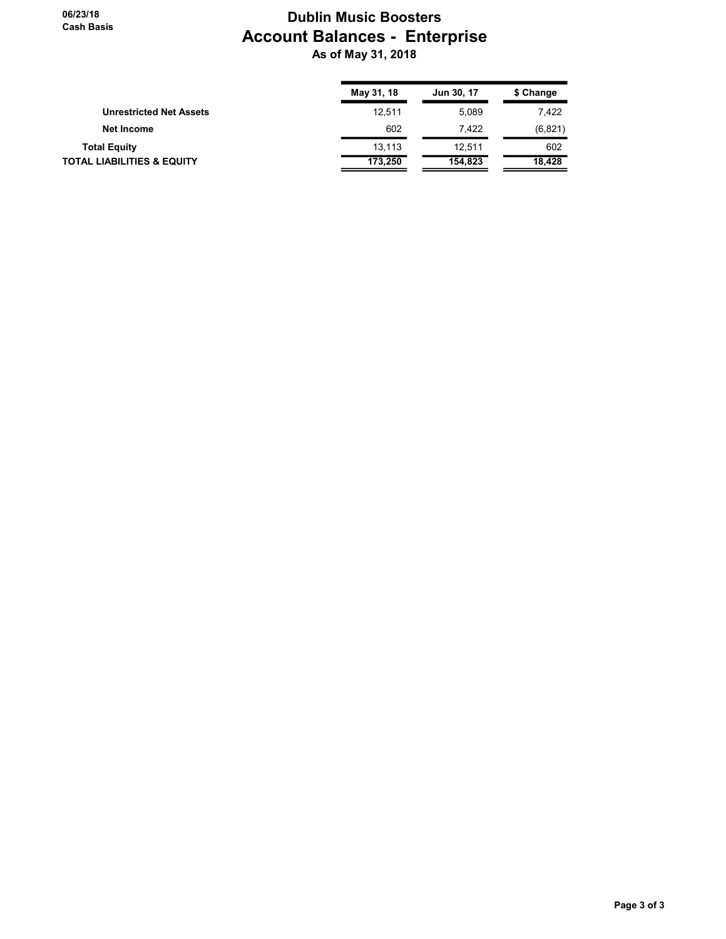## Dublin Music Boosters Account Balances - Enterprise As of May 31, 2018

|                                       | May 31, 18 | Jun 30, 17 | \$ Change |
|---------------------------------------|------------|------------|-----------|
| <b>Unrestricted Net Assets</b>        | 12.511     | 5.089      | 7,422     |
| Net Income                            | 602        | 7.422      | (6,821)   |
| <b>Total Equity</b>                   | 13.113     | 12.511     | 602       |
| <b>TOTAL LIABILITIES &amp; EQUITY</b> | 173.250    | 154.823    | 18.428    |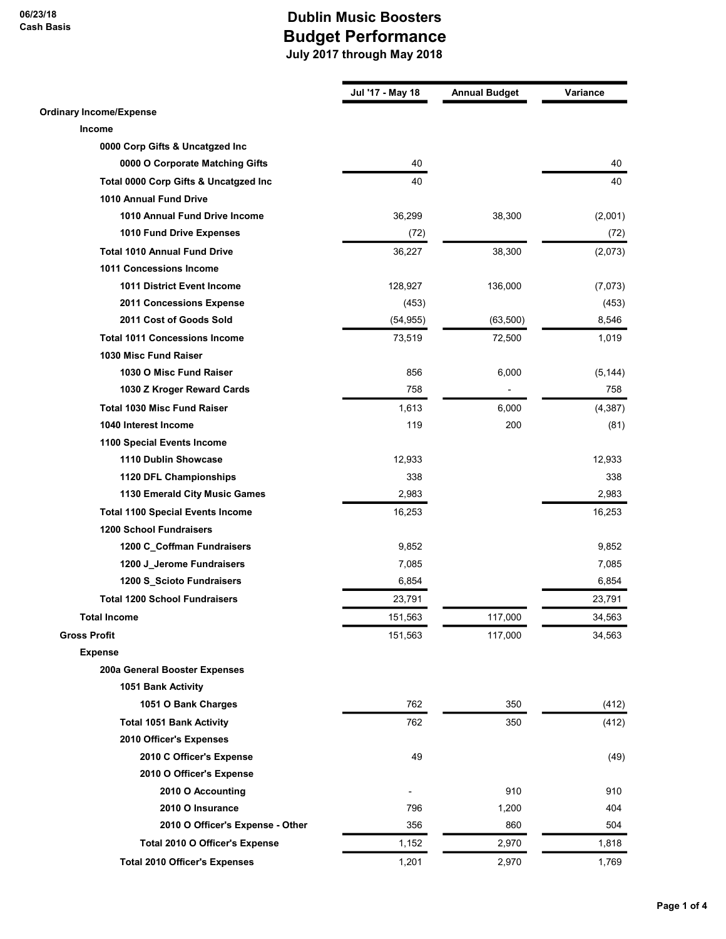06/23/18 Cash Basis

|                                         | Jul '17 - May 18 | <b>Annual Budget</b> | Variance |
|-----------------------------------------|------------------|----------------------|----------|
| <b>Ordinary Income/Expense</b>          |                  |                      |          |
| Income                                  |                  |                      |          |
| 0000 Corp Gifts & Uncatgzed Inc         |                  |                      |          |
| 0000 O Corporate Matching Gifts         | 40               |                      | 40       |
| Total 0000 Corp Gifts & Uncatgzed Inc   | 40               |                      | 40       |
| 1010 Annual Fund Drive                  |                  |                      |          |
| 1010 Annual Fund Drive Income           | 36,299           | 38,300               | (2,001)  |
| 1010 Fund Drive Expenses                | (72)             |                      | (72)     |
| <b>Total 1010 Annual Fund Drive</b>     | 36,227           | 38,300               | (2,073)  |
| 1011 Concessions Income                 |                  |                      |          |
| <b>1011 District Event Income</b>       | 128,927          | 136,000              | (7,073)  |
| 2011 Concessions Expense                | (453)            |                      | (453)    |
| 2011 Cost of Goods Sold                 | (54, 955)        | (63, 500)            | 8,546    |
| <b>Total 1011 Concessions Income</b>    | 73,519           | 72,500               | 1,019    |
| 1030 Misc Fund Raiser                   |                  |                      |          |
| 1030 O Misc Fund Raiser                 | 856              | 6,000                | (5, 144) |
| 1030 Z Kroger Reward Cards              | 758              |                      | 758      |
| <b>Total 1030 Misc Fund Raiser</b>      | 1,613            | 6,000                | (4, 387) |
| 1040 Interest Income                    | 119              | 200                  | (81)     |
| 1100 Special Events Income              |                  |                      |          |
| 1110 Dublin Showcase                    | 12,933           |                      | 12,933   |
| 1120 DFL Championships                  | 338              |                      | 338      |
| 1130 Emerald City Music Games           | 2,983            |                      | 2,983    |
| <b>Total 1100 Special Events Income</b> | 16,253           |                      | 16,253   |
| <b>1200 School Fundraisers</b>          |                  |                      |          |
| 1200 C_Coffman Fundraisers              | 9,852            |                      | 9,852    |
| 1200 J_Jerome Fundraisers               | 7,085            |                      | 7,085    |
| 1200 S_Scioto Fundraisers               | 6,854            |                      | 6,854    |
| <b>Total 1200 School Fundraisers</b>    | 23,791           |                      | 23,791   |
| <b>Total Income</b>                     | 151,563          | 117,000              | 34,563   |
| <b>Gross Profit</b>                     | 151,563          | 117,000              | 34,563   |
| <b>Expense</b>                          |                  |                      |          |
| 200a General Booster Expenses           |                  |                      |          |
| 1051 Bank Activity                      |                  |                      |          |
| 1051 O Bank Charges                     | 762              | 350                  | (412)    |
| <b>Total 1051 Bank Activity</b>         | 762              | 350                  | (412)    |
| 2010 Officer's Expenses                 |                  |                      |          |
| 2010 C Officer's Expense                | 49               |                      | (49)     |
| 2010 O Officer's Expense                |                  |                      |          |
| 2010 O Accounting                       |                  | 910                  | 910      |
| 2010 O Insurance                        | 796              | 1,200                | 404      |
| 2010 O Officer's Expense - Other        | 356              | 860                  | 504      |
|                                         |                  |                      |          |
| Total 2010 O Officer's Expense          | 1,152            | 2,970                | 1,818    |
| <b>Total 2010 Officer's Expenses</b>    | 1,201            | 2,970                | 1,769    |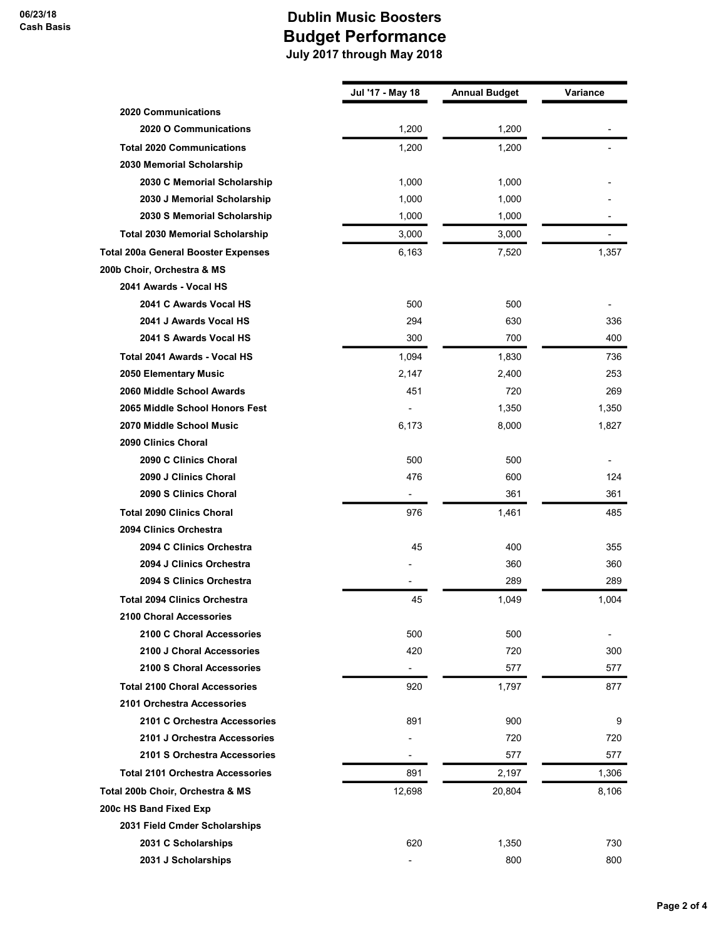|                          |                                                      | Variance                                                        |
|--------------------------|------------------------------------------------------|-----------------------------------------------------------------|
|                          |                                                      |                                                                 |
|                          |                                                      |                                                                 |
|                          |                                                      |                                                                 |
|                          |                                                      |                                                                 |
| 1,000                    | 1,000                                                |                                                                 |
|                          | 1,000                                                |                                                                 |
|                          |                                                      |                                                                 |
| 3,000                    | 3,000                                                |                                                                 |
| 6,163                    | 7,520                                                | 1,357                                                           |
|                          |                                                      |                                                                 |
|                          |                                                      |                                                                 |
| 500                      | 500                                                  |                                                                 |
| 294                      | 630                                                  | 336                                                             |
| 300                      | 700                                                  | 400                                                             |
| 1,094                    | 1,830                                                | 736                                                             |
| 2,147                    | 2,400                                                | 253                                                             |
| 451                      | 720                                                  | 269                                                             |
|                          | 1,350                                                | 1,350                                                           |
| 6,173                    | 8,000                                                | 1,827                                                           |
|                          |                                                      |                                                                 |
| 500                      | 500                                                  |                                                                 |
| 476                      | 600                                                  | 124                                                             |
|                          | 361                                                  | 361                                                             |
| 976                      | 1,461                                                | 485                                                             |
|                          |                                                      |                                                                 |
| 45                       | 400                                                  | 355                                                             |
|                          | 360                                                  | 360                                                             |
|                          | 289                                                  | 289                                                             |
| 45                       | 1,049                                                | 1,004                                                           |
|                          |                                                      |                                                                 |
| 500                      | 500                                                  |                                                                 |
| 420                      | 720                                                  | 300                                                             |
| $\overline{\phantom{a}}$ | 577                                                  | 577                                                             |
| 920                      | 1,797                                                | 877                                                             |
|                          |                                                      |                                                                 |
| 891                      | 900                                                  | 9                                                               |
|                          | 720                                                  | 720                                                             |
| $\overline{\phantom{a}}$ | 577                                                  | 577                                                             |
| 891                      | 2,197                                                | 1,306                                                           |
| 12,698                   | 20,804                                               | 8,106                                                           |
|                          |                                                      |                                                                 |
|                          |                                                      |                                                                 |
|                          |                                                      | 730                                                             |
|                          |                                                      |                                                                 |
|                          | Jul '17 - May 18<br>1,200<br>1,200<br>1,000<br>1,000 | <b>Annual Budget</b><br>1,200<br>1,200<br>1,000<br>620<br>1,350 |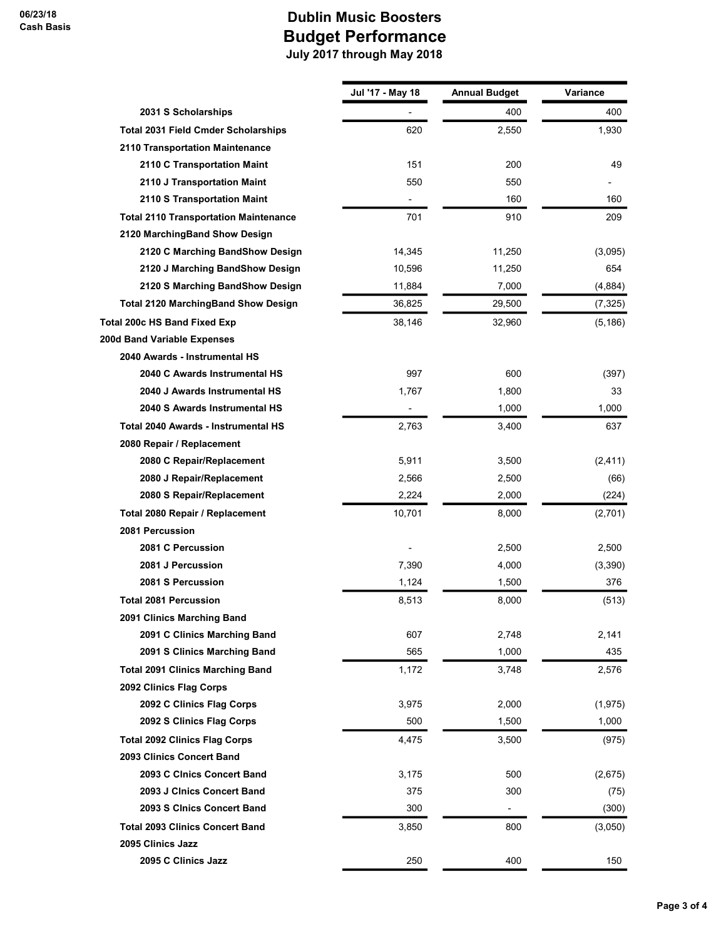|                                              | Jul '17 - May 18 | <b>Annual Budget</b> | Variance |
|----------------------------------------------|------------------|----------------------|----------|
| 2031 S Scholarships                          |                  | 400                  | 400      |
| <b>Total 2031 Field Cmder Scholarships</b>   | 620              | 2,550                | 1,930    |
| 2110 Transportation Maintenance              |                  |                      |          |
| 2110 C Transportation Maint                  | 151              | 200                  | 49       |
| 2110 J Transportation Maint                  | 550              | 550                  |          |
| 2110 S Transportation Maint                  | $\blacksquare$   | 160                  | 160      |
| <b>Total 2110 Transportation Maintenance</b> | 701              | 910                  | 209      |
| 2120 MarchingBand Show Design                |                  |                      |          |
| 2120 C Marching BandShow Design              | 14,345           | 11,250               | (3,095)  |
| 2120 J Marching BandShow Design              | 10,596           | 11,250               | 654      |
| 2120 S Marching BandShow Design              | 11,884           | 7,000                | (4,884)  |
| <b>Total 2120 MarchingBand Show Design</b>   | 36,825           | 29,500               | (7, 325) |
| Total 200c HS Band Fixed Exp                 | 38,146           | 32,960               | (5, 186) |
| 200d Band Variable Expenses                  |                  |                      |          |
| 2040 Awards - Instrumental HS                |                  |                      |          |
| 2040 C Awards Instrumental HS                | 997              | 600                  | (397)    |
| 2040 J Awards Instrumental HS                | 1,767            | 1,800                | 33       |
| 2040 S Awards Instrumental HS                |                  | 1,000                | 1,000    |
| Total 2040 Awards - Instrumental HS          | 2,763            | 3,400                | 637      |
| 2080 Repair / Replacement                    |                  |                      |          |
| 2080 C Repair/Replacement                    | 5,911            | 3,500                | (2, 411) |
| 2080 J Repair/Replacement                    | 2,566            | 2,500                | (66)     |
| 2080 S Repair/Replacement                    | 2,224            | 2,000                | (224)    |
| Total 2080 Repair / Replacement              | 10,701           | 8,000                | (2,701)  |
| 2081 Percussion                              |                  |                      |          |
| 2081 C Percussion                            |                  | 2,500                | 2,500    |
| 2081 J Percussion                            | 7,390            | 4,000                | (3,390)  |
| 2081 S Percussion                            | 1,124            | 1,500                | 376      |
| <b>Total 2081 Percussion</b>                 | 8,513            | 8,000                | (513)    |
| 2091 Clinics Marching Band                   |                  |                      |          |
| 2091 C Clinics Marching Band                 | 607              | 2,748                | 2,141    |
| 2091 S Clinics Marching Band                 | 565              | 1,000                | 435      |
| <b>Total 2091 Clinics Marching Band</b>      | 1,172            | 3,748                | 2,576    |
| 2092 Clinics Flag Corps                      |                  |                      |          |
| 2092 C Clinics Flag Corps                    | 3,975            | 2,000                | (1, 975) |
| 2092 S Clinics Flag Corps                    | 500              | 1,500                | 1,000    |
| <b>Total 2092 Clinics Flag Corps</b>         | 4,475            | 3,500                | (975)    |
| 2093 Clinics Concert Band                    |                  |                      |          |
| 2093 C Cinics Concert Band                   | 3,175            | 500                  | (2,675)  |
| 2093 J Cinics Concert Band                   | 375              | 300                  | (75)     |
| 2093 S CInics Concert Band                   | 300              | -                    | (300)    |
| <b>Total 2093 Clinics Concert Band</b>       | 3,850            | 800                  | (3,050)  |
| 2095 Clinics Jazz                            |                  |                      |          |
| 2095 C Clinics Jazz                          | 250              | 400                  | 150      |